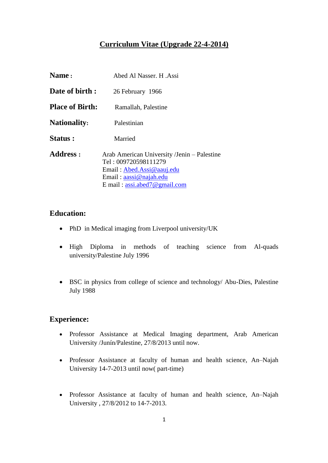# **Curriculum Vitae (Upgrade 22-4-2014)**

| Name:                  | Abed Al Nasser. H. Assi                                                                                                                                                              |
|------------------------|--------------------------------------------------------------------------------------------------------------------------------------------------------------------------------------|
| Date of birth:         | 26 February 1966                                                                                                                                                                     |
| <b>Place of Birth:</b> | Ramallah, Palestine                                                                                                                                                                  |
| <b>Nationality:</b>    | Palestinian                                                                                                                                                                          |
| Status:                | Married                                                                                                                                                                              |
| <b>Address:</b>        | Arab American University /Jenin – Palestine<br>Tel: 009720598111279<br>Email: Abed.Assi@aauj.edu<br>Email: $aassi@najah.edu$<br>E mail: $\text{assi}.\text{abcd}7@ \text{gmail.com}$ |

## **Education:**

- PhD in Medical imaging from Liverpool university/UK
- High Diploma in methods of teaching science from Al-quads university/Palestine July 1996
- BSC in physics from college of science and technology/ Abu-Dies, Palestine July 1988

## **Experience:**

- Professor Assistance at Medical Imaging department, Arab American University /Junín/Palestine, 27/8/2013 until now.
- Professor Assistance at faculty of human and health science, An–Najah University 14-7-2013 until now( part-time)
- Professor Assistance at faculty of human and health science, An–Najah University , 27/8/2012 to 14-7-2013.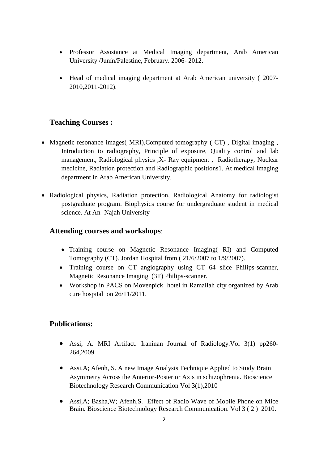- Professor Assistance at Medical Imaging department, Arab American University /Junín/Palestine, February. 2006- 2012.
- Head of medical imaging department at Arab American university ( 2007- 2010,2011-2012).

## **Teaching Courses :**

- Magnetic resonance images( MRI), Computed tomography ( CT), Digital imaging, Introduction to radiography, Principle of exposure, Quality control and lab management, Radiological physics ,X- Ray equipment , Radiotherapy, Nuclear medicine, Radiation protection and Radiographic positions1. At medical imaging department in Arab American University.
- Radiological physics, Radiation protection, Radiological Anatomy for radiologist postgraduate program. Biophysics course for undergraduate student in medical science. At An- Najah University

## **Attending courses and workshops**:

- Training course on Magnetic Resonance Imaging (RI) and Computed Tomography (CT). Jordan Hospital from ( 21/6/2007 to 1/9/2007).
- Training course on CT angiography using CT 64 slice Philips-scanner, Magnetic Resonance Imaging (3T) Philips-scanner.
- Workshop in PACS on Movenpick hotel in Ramallah city organized by Arab cure hospital on 26/11/2011.

## **Publications:**

- Assi, A. MRI Artifact. Iraninan Journal of Radiology.Vol 3(1) pp260- 264,2009
- Assi,A; Afenh, S. A new Image Analysis Technique Applied to Study Brain Asymmetry Across the Anterior-Posterior Axis in schizophrenia. Bioscience Biotechnology Research Communication Vol 3(1),2010
- Assi,A; Basha,W; Afenh,S. Effect of Radio Wave of Mobile Phone on Mice Brain. Bioscience Biotechnology Research Communication. Vol 3 ( 2 ) 2010.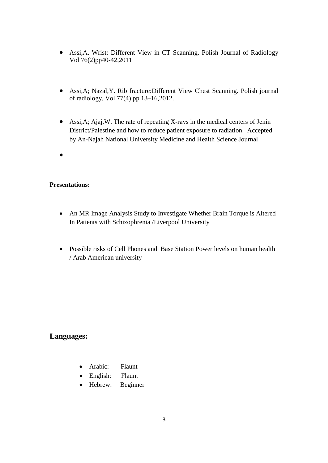- Assi,A. Wrist: Different View in CT Scanning. Polish Journal of Radiology Vol 76(2)pp40-42,2011
- Assi,A; Nazal,Y. Rib fracture:Different View Chest Scanning. Polish journal of radiology, Vol 77(4) pp 13–16,2012.
- Assi,A; Ajaj,W. The rate of repeating X-rays in the medical centers of Jenin District/Palestine and how to reduce patient exposure to radiation. Accepted by An-Najah National University Medicine and Health Science Journal
- $\bullet$

#### **Presentations:**

- An MR Image Analysis Study to Investigate Whether Brain Torque is Altered In Patients with Schizophrenia /Liverpool University
- Possible risks of Cell Phones and Base Station Power levels on human health / Arab American university

# **Languages:**

- Arabic: Flaunt
- English: Flaunt
- Hebrew: Beginner